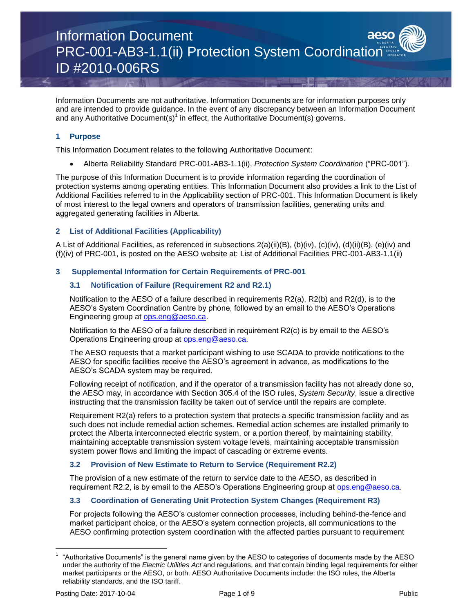Information Documents are not authoritative. Information Documents are for information purposes only and are intended to provide guidance. In the event of any discrepancy between an Information Document and any Authoritative Document(s)<sup>1</sup> in effect, the Authoritative Document(s) governs.

# **1 Purpose**

This Information Document relates to the following Authoritative Document:

Alberta Reliability Standard PRC-001-AB3-1.1(ii), *Protection System Coordination* ("PRC-001").

The purpose of this Information Document is to provide information regarding the coordination of protection systems among operating entities. This Information Document also provides a link to the List of Additional Facilities referred to in the Applicability section of PRC-001. This Information Document is likely of most interest to the legal owners and operators of transmission facilities, generating units and aggregated generating facilities in Alberta.

# **2 List of Additional Facilities (Applicability)**

A List of Additional Facilities, as referenced in subsections 2(a)(ii)(B), (b)(iv), (c)(iv), (d)(ii)(B), (e)(iv) and (f)(iv) of PRC-001, is posted on the AESO website at: List of Additional Facilities PRC-001-AB3-1.1(ii)

# **3 Supplemental Information for Certain Requirements of PRC-001**

# **3.1 Notification of Failure (Requirement R2 and R2.1)**

Notification to the AESO of a failure described in requirements R2(a), R2(b) and R2(d), is to the AESO's System Coordination Centre by phone, followed by an email to the AESO's Operations Engineering group at [ops.eng@aeso.ca.](mailto:ops.eng@aeso.ca)

Notification to the AESO of a failure described in requirement R2(c) is by email to the AESO's Operations Engineering group at [ops.eng@aeso.ca.](mailto:ops.eng@aeso.ca)

The AESO requests that a market participant wishing to use SCADA to provide notifications to the AESO for specific facilities receive the AESO's agreement in advance, as modifications to the AESO's SCADA system may be required.

Following receipt of notification, and if the operator of a transmission facility has not already done so, the AESO may, in accordance with Section 305.4 of the ISO rules, *System Security*, issue a directive instructing that the transmission facility be taken out of service until the repairs are complete.

Requirement R2(a) refers to a protection system that protects a specific transmission facility and as such does not include remedial action schemes. Remedial action schemes are installed primarily to protect the Alberta interconnected electric system, or a portion thereof, by maintaining stability, maintaining acceptable transmission system voltage levels, maintaining acceptable transmission system power flows and limiting the impact of cascading or extreme events.

# **3.2 Provision of New Estimate to Return to Service (Requirement R2.2)**

The provision of a new estimate of the return to service date to the AESO, as described in requirement R2.2, is by email to the AESO's Operations Engineering group at [ops.eng@aeso.ca.](mailto:ops.eng@aeso.ca)

# **3.3 Coordination of Generating Unit Protection System Changes (Requirement R3)**

For projects following the AESO's customer connection processes, including behind-the-fence and market participant choice, or the AESO's system connection projects, all communications to the AESO confirming protection system coordination with the affected parties pursuant to requirement

 $\overline{\phantom{a}}$ 

<sup>1</sup> "Authoritative Documents" is the general name given by the AESO to categories of documents made by the AESO under the authority of the *Electric Utilities Act* and regulations, and that contain binding legal requirements for either market participants or the AESO, or both. AESO Authoritative Documents include: the ISO rules, the Alberta reliability standards, and the ISO tariff.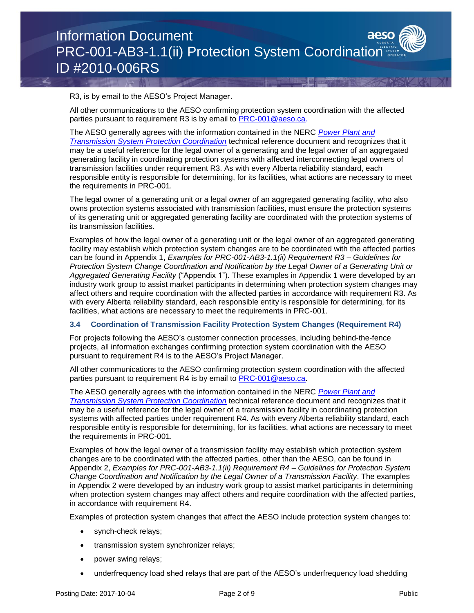R3, is by email to the AESO's Project Manager.

All other communications to the AESO confirming protection system coordination with the affected parties pursuant to requirement R3 is by email to [PRC-001@aeso.ca.](mailto:PRC-001@aeso.ca)

The AESO generally agrees with the information contained in the NERC *[Power Plant and](http://www.nerc.com/docs/pc/spctf/Gen%20Prot%20Coord%20Rev1%20Final%2007-30-2010.pdf)  [Transmission System Protection Coordination](http://www.nerc.com/docs/pc/spctf/Gen%20Prot%20Coord%20Rev1%20Final%2007-30-2010.pdf)* technical reference document and recognizes that it may be a useful reference for the legal owner of a generating and the legal owner of an aggregated generating facility in coordinating protection systems with affected interconnecting legal owners of transmission facilities under requirement R3. As with every Alberta reliability standard, each responsible entity is responsible for determining, for its facilities, what actions are necessary to meet the requirements in PRC-001.

The legal owner of a generating unit or a legal owner of an aggregated generating facility, who also owns protection systems associated with transmission facilities, must ensure the protection systems of its generating unit or aggregated generating facility are coordinated with the protection systems of its transmission facilities.

Examples of how the legal owner of a generating unit or the legal owner of an aggregated generating facility may establish which protection system changes are to be coordinated with the affected parties can be found in Appendix 1, *Examples for PRC-001-AB3-1.1(ii) Requirement R3 – Guidelines for Protection System Change Coordination and Notification by the Legal Owner of a Generating Unit or Aggregated Generating Facility* ("Appendix 1"). These examples in Appendix 1 were developed by an industry work group to assist market participants in determining when protection system changes may affect others and require coordination with the affected parties in accordance with requirement R3. As with every Alberta reliability standard, each responsible entity is responsible for determining, for its facilities, what actions are necessary to meet the requirements in PRC-001.

# **3.4 Coordination of Transmission Facility Protection System Changes (Requirement R4)**

For projects following the AESO's customer connection processes, including behind-the-fence projects, all information exchanges confirming protection system coordination with the AESO pursuant to requirement R4 is to the AESO's Project Manager.

All other communications to the AESO confirming protection system coordination with the affected parties pursuant to requirement R4 is by email to PRC-001@aeso.ca.

The AESO generally agrees with the information contained in the NERC *[Power Plant and](http://www.nerc.com/docs/pc/spctf/Gen%20Prot%20Coord%20Rev1%20Final%2007-30-2010.pdf)  [Transmission System Protection Coordination](http://www.nerc.com/docs/pc/spctf/Gen%20Prot%20Coord%20Rev1%20Final%2007-30-2010.pdf)* technical reference document and recognizes that it may be a useful reference for the legal owner of a transmission facility in coordinating protection systems with affected parties under requirement R4. As with every Alberta reliability standard, each responsible entity is responsible for determining, for its facilities, what actions are necessary to meet the requirements in PRC-001.

Examples of how the legal owner of a transmission facility may establish which protection system changes are to be coordinated with the affected parties, other than the AESO, can be found in Appendix 2, *Examples for PRC-001-AB3-1.1(ii) Requirement R4 – Guidelines for Protection System Change Coordination and Notification by the Legal Owner of a Transmission Facility*. The examples in Appendix 2 were developed by an industry work group to assist market participants in determining when protection system changes may affect others and require coordination with the affected parties, in accordance with requirement R4.

Examples of protection system changes that affect the AESO include protection system changes to:

- synch-check relays;
- transmission system synchronizer relays;
- power swing relays;
- underfrequency load shed relays that are part of the AESO's underfrequency load shedding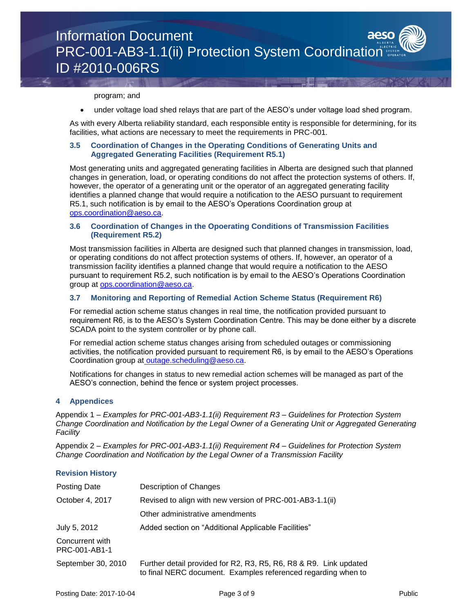#### program; and

under voltage load shed relays that are part of the AESO's under voltage load shed program.

As with every Alberta reliability standard, each responsible entity is responsible for determining, for its facilities, what actions are necessary to meet the requirements in PRC-001.

# **3.5 Coordination of Changes in the Operating Conditions of Generating Units and Aggregated Generating Facilities (Requirement R5.1)**

Most generating units and aggregated generating facilities in Alberta are designed such that planned changes in generation, load, or operating conditions do not affect the protection systems of others. If, however, the operator of a generating unit or the operator of an aggregated generating facility identifies a planned change that would require a notification to the AESO pursuant to requirement R5.1, such notification is by email to the AESO's Operations Coordination group at [ops.coordination@aeso.ca.](mailto:ops.coordination@aeso.ca)

# **3.6 Coordination of Changes in the Opoerating Conditions of Transmission Facilities (Requirement R5.2)**

Most transmission facilities in Alberta are designed such that planned changes in transmission, load, or operating conditions do not affect protection systems of others. If, however, an operator of a transmission facility identifies a planned change that would require a notification to the AESO pursuant to requirement R5.2, such notification is by email to the AESO's Operations Coordination group at [ops.coordination@aeso.ca.](mailto:ops.coordination@aeso.ca)

# **3.7 Monitoring and Reporting of Remedial Action Scheme Status (Requirement R6)**

For remedial action scheme status changes in real time, the notification provided pursuant to requirement R6, is to the AESO's System Coordination Centre. This may be done either by a discrete SCADA point to the system controller or by phone call.

For remedial action scheme status changes arising from scheduled outages or commissioning activities, the notification provided pursuant to requirement R6, is by email to the AESO's Operations Coordination group at [outage.scheduling@aeso.ca.](mailto:%20outage.scheduling@aeso.ca)

Notifications for changes in status to new remedial action schemes will be managed as part of the AESO's connection, behind the fence or system project processes.

# **4 Appendices**

Appendix 1 – *Examples for PRC-001-AB3-1.1(ii) Requirement R3 – Guidelines for Protection System Change Coordination and Notification by the Legal Owner of a Generating Unit or Aggregated Generating Facility*

Appendix 2 – *Examples for PRC-001-AB3-1.1(ii) Requirement R4 – Guidelines for Protection System Change Coordination and Notification by the Legal Owner of a Transmission Facility*

# **Revision History**

| <b>Posting Date</b>              | Description of Changes                                                                                                             |
|----------------------------------|------------------------------------------------------------------------------------------------------------------------------------|
| October 4, 2017                  | Revised to align with new version of PRC-001-AB3-1.1(ii)                                                                           |
|                                  | Other administrative amendments                                                                                                    |
| July 5, 2012                     | Added section on "Additional Applicable Facilities"                                                                                |
| Concurrent with<br>PRC-001-AB1-1 |                                                                                                                                    |
| September 30, 2010               | Further detail provided for R2, R3, R5, R6, R8 & R9. Link updated<br>to final NERC document. Examples referenced regarding when to |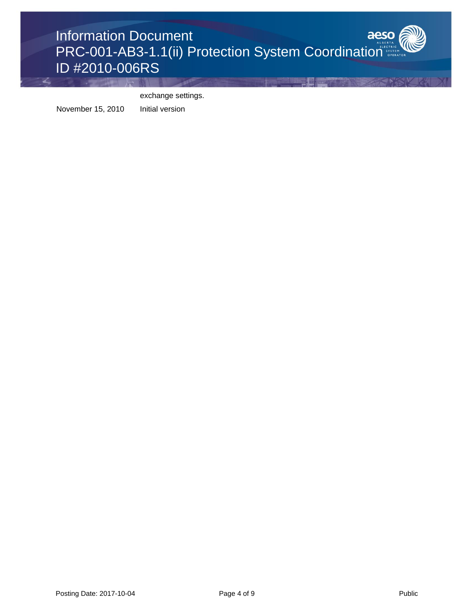

exchange settings.

November 15, 2010 Initial version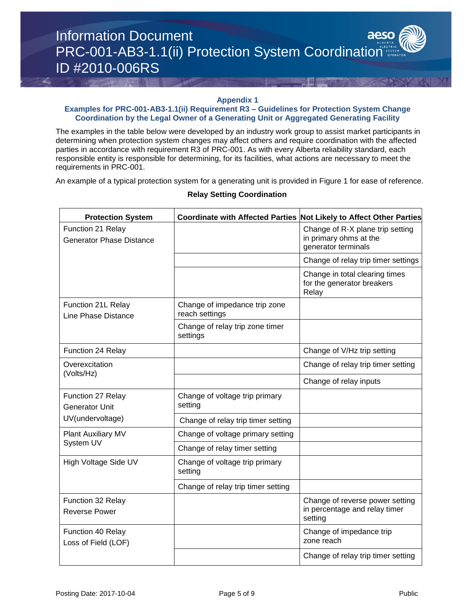#### **Appendix 1**

# **Examples for PRC-001-AB3-1.1(ii) Requirement R3 – Guidelines for Protection System Change Coordination by the Legal Owner of a Generating Unit or Aggregated Generating Facility**

The examples in the table below were developed by an industry work group to assist market participants in determining when protection system changes may affect others and require coordination with the affected parties in accordance with requirement R3 of PRC-001. As with every Alberta reliability standard, each responsible entity is responsible for determining, for its facilities, what actions are necessary to meet the requirements in PRC-001.

An example of a typical protection system for a generating unit is provided in Figure 1 for ease of reference.

| <b>Protection System</b>                             |                                                 | Coordinate with Affected Parties Not Likely to Affect Other Parties               |
|------------------------------------------------------|-------------------------------------------------|-----------------------------------------------------------------------------------|
| Function 21 Relay<br><b>Generator Phase Distance</b> |                                                 | Change of R-X plane trip setting<br>in primary ohms at the<br>generator terminals |
|                                                      |                                                 | Change of relay trip timer settings                                               |
|                                                      |                                                 | Change in total clearing times<br>for the generator breakers<br>Relay             |
| Function 21L Relay<br>Line Phase Distance            | Change of impedance trip zone<br>reach settings |                                                                                   |
|                                                      | Change of relay trip zone timer<br>settings     |                                                                                   |
| Function 24 Relay                                    |                                                 | Change of V/Hz trip setting                                                       |
| Overexcitation                                       |                                                 | Change of relay trip timer setting                                                |
| (Volts/Hz)                                           |                                                 | Change of relay inputs                                                            |
| Function 27 Relay<br><b>Generator Unit</b>           | Change of voltage trip primary<br>setting       |                                                                                   |
| UV(undervoltage)                                     | Change of relay trip timer setting              |                                                                                   |
| Plant Auxiliary MV                                   | Change of voltage primary setting               |                                                                                   |
| System UV                                            | Change of relay timer setting                   |                                                                                   |
| High Voltage Side UV                                 | Change of voltage trip primary<br>setting       |                                                                                   |
|                                                      | Change of relay trip timer setting              |                                                                                   |
| Function 32 Relay<br><b>Reverse Power</b>            |                                                 | Change of reverse power setting<br>in percentage and relay timer<br>setting       |
| Function 40 Relay<br>Loss of Field (LOF)             |                                                 | Change of impedance trip<br>zone reach                                            |
|                                                      |                                                 | Change of relay trip timer setting                                                |

# **Relay Setting Coordination**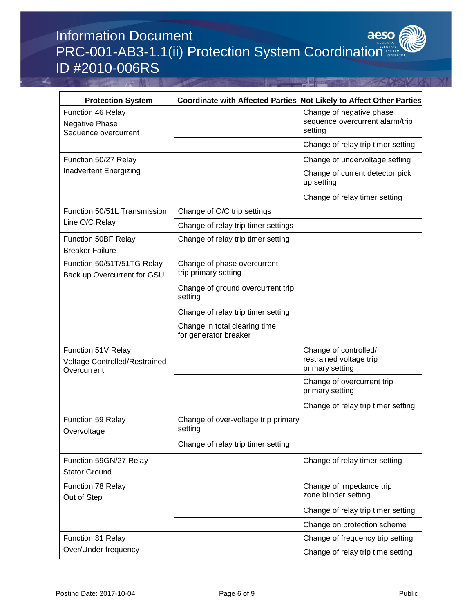# aeso Information Document PRC-001-AB3-1.1(ii) Protection System Coordination ID #2010-006RS

| <b>Protection System</b>                                           | Coordinate with Affected Parties Not Likely to Affect Other Parties |                                                                        |
|--------------------------------------------------------------------|---------------------------------------------------------------------|------------------------------------------------------------------------|
| Function 46 Relay<br><b>Negative Phase</b><br>Sequence overcurrent |                                                                     | Change of negative phase<br>sequence overcurrent alarm/trip<br>setting |
|                                                                    |                                                                     | Change of relay trip timer setting                                     |
| Function 50/27 Relay                                               |                                                                     | Change of undervoltage setting                                         |
| Inadvertent Energizing                                             |                                                                     | Change of current detector pick<br>up setting                          |
|                                                                    |                                                                     | Change of relay timer setting                                          |
| Function 50/51L Transmission                                       | Change of O/C trip settings                                         |                                                                        |
| Line O/C Relay                                                     | Change of relay trip timer settings                                 |                                                                        |
| Function 50BF Relay<br><b>Breaker Failure</b>                      | Change of relay trip timer setting                                  |                                                                        |
| Function 50/51T/51TG Relay<br>Back up Overcurrent for GSU          | Change of phase overcurrent<br>trip primary setting                 |                                                                        |
|                                                                    | Change of ground overcurrent trip<br>setting                        |                                                                        |
|                                                                    | Change of relay trip timer setting                                  |                                                                        |
|                                                                    | Change in total clearing time<br>for generator breaker              |                                                                        |
| Function 51V Relay<br>Voltage Controlled/Restrained<br>Overcurrent |                                                                     | Change of controlled/<br>restrained voltage trip<br>primary setting    |
|                                                                    |                                                                     | Change of overcurrent trip<br>primary setting                          |
|                                                                    |                                                                     | Change of relay trip timer setting                                     |
| <b>Function 59 Relay</b><br>Overvoltage                            | Change of over-voltage trip primary<br>setting                      |                                                                        |
|                                                                    | Change of relay trip timer setting                                  |                                                                        |
| Function 59GN/27 Relay<br><b>Stator Ground</b>                     |                                                                     | Change of relay timer setting                                          |
| Function 78 Relay<br>Out of Step                                   |                                                                     | Change of impedance trip<br>zone blinder setting                       |
|                                                                    |                                                                     | Change of relay trip timer setting                                     |
|                                                                    |                                                                     | Change on protection scheme                                            |
| Function 81 Relay                                                  |                                                                     | Change of frequency trip setting                                       |
| Over/Under frequency                                               |                                                                     | Change of relay trip time setting                                      |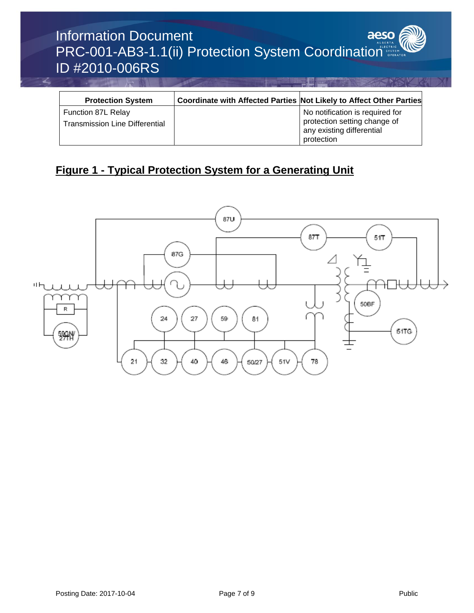# Information Document aeso PRC-001-AB3-1.1(ii) Protection System Coordination ID #2010-006RS

| <b>Protection System</b>                                    | Coordinate with Affected Parties Not Likely to Affect Other Parties |                                                                                                            |
|-------------------------------------------------------------|---------------------------------------------------------------------|------------------------------------------------------------------------------------------------------------|
| Function 87L Relay<br><b>Transmission Line Differential</b> |                                                                     | No notification is required for<br>protection setting change of<br>any existing differential<br>protection |

# **Figure 1 - Typical Protection System for a Generating Unit**

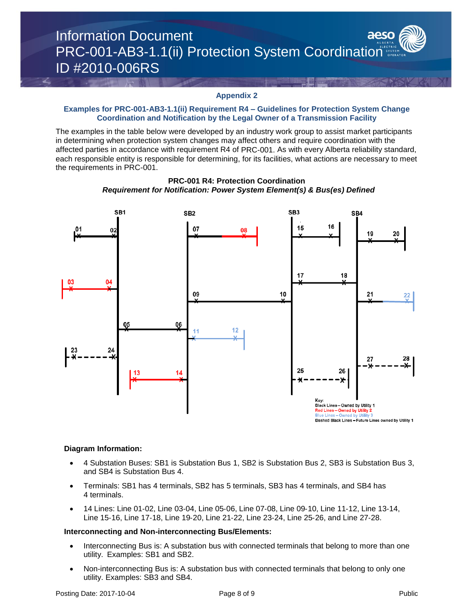

#### **Appendix 2**

#### **Examples for PRC-001-AB3-1.1(ii) Requirement R4 – Guidelines for Protection System Change Coordination and Notification by the Legal Owner of a Transmission Facility**

The examples in the table below were developed by an industry work group to assist market participants in determining when protection system changes may affect others and require coordination with the affected parties in accordance with requirement R4 of PRC-001. As with every Alberta reliability standard, each responsible entity is responsible for determining, for its facilities, what actions are necessary to meet the requirements in PRC-001.



**PRC-001 R4: Protection Coordination** *Requirement for Notification: Power System Element(s) & Bus(es) Defined*

#### **Diagram Information:**

- 4 Substation Buses: SB1 is Substation Bus 1, SB2 is Substation Bus 2, SB3 is Substation Bus 3, and SB4 is Substation Bus 4.
- Terminals: SB1 has 4 terminals, SB2 has 5 terminals, SB3 has 4 terminals, and SB4 has 4 terminals.
- 14 Lines: Line 01‐02, Line 03‐04, Line 05‐06, Line 07‐08, Line 09‐10, Line 11‐12, Line 13‐14, Line 15‐16, Line 17‐18, Line 19‐20, Line 21‐22, Line 23‐24, Line 25‐26, and Line 27‐28.

#### **Interconnecting and Non**‐**interconnecting Bus/Elements:**

- Interconnecting Bus is: A substation bus with connected terminals that belong to more than one utility. Examples: SB1 and SB2.
- Non‐interconnecting Bus is: A substation bus with connected terminals that belong to only one utility. Examples: SB3 and SB4.